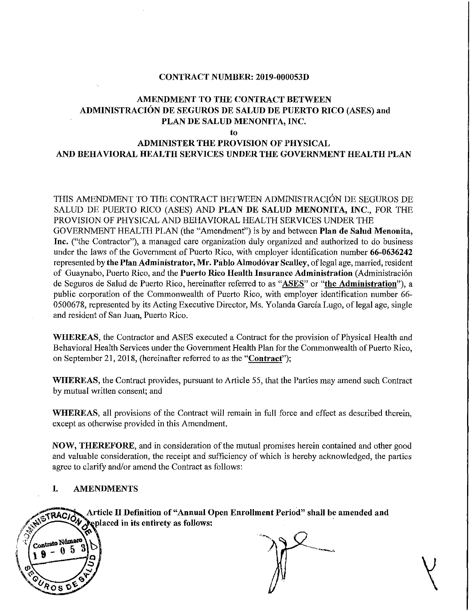#### CONTRACT NUMBER: 2019-000053D

### AMENDMENT TO THE CONTRACT BETWEEN ADMINISTRACION DE SEGUROS DE SALUD DE PUERTO RICO (ASES) and PLAN DE SALUD MENONITA, INC.

to

# ADMINISTER THE PROVISION OF PHYSICAL AND BEHAVIORAL HEALTH SERVICES UNDER THE GOVERNMENT HEALTH PLAN

THIS AMENDMENT TO THE CONTRACT BETWEEN ADMINISTRACIÓN DE SEGUROS DE SALUD DE PUERTO RICO (ASES) AND PLAN DE SALUD MENONITA, INC., FOR THE PROVISION OF PHYSICAL AND BEHAVIORAL HEALTH SERVICES UNDER THE GOVERNMENT HEALTH PLAN (the "Amendment") is by and between Plan de Salud Menonita, Inc. ("the Contractor"), a managed care organization duly organized and authorized to do business under the laws of the Government of Puerto Rico, with employer identification number 66-0636242 represented by the Plan Administrator, Mr. Pablo Almodóvar Scalley, of legal age, married, resident of Guaynabo, Puerto Rico, and the Puerto Rico Health Insurance Administration (Administración de Seguros de Salud de Puerto Rico, hereinafter referred to as "ASES" or "the Administration"), a public corporation of the Commonwealth of Puerto Rico, with employer identification number 66- 0500678, represented by its Acting Executive Director, Ms. Yolanda García Lugo, of legal age, single and resident of San Juan, Puerto Rico.

WHEREAS, the Contractor and ASES executed a Contract for the provision of Physical Health and Behavioral Health Services under the Government Health Plan for the Commonwealth of Puerto Rico, on September 2I, 2018, (hereinafter referred to as the "Contract");

WHEREAS, the Contract provides, pursuant to Article 55, that the Parties may amend such Contract by mutual written consent; and

WHEREAS, all provisions of the Contract will remain in full force and effect as described therein, except as otherwise provided in this Amendment.

NOW, THEREFORE, and in consideration of the mutual promises herein contained and other good and valuable consideration, the receipt and sufficiency of which is hereby acknowledged, the parties agree to clarify and/or amend the Contract as follows:

#### I. AMENDMENTS

Article II Definition of "Annual Open Enrollment Period" shall be amended and RACION replaced in its entirety as follows:

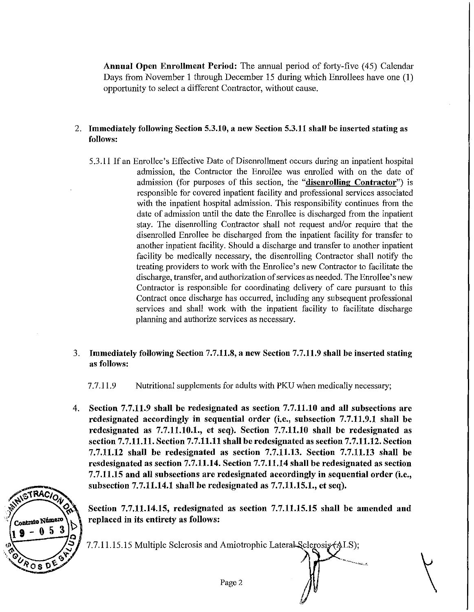Annual Open Enrollment Period: The annual period of forty-five (45) Calendar Days from November 1 through December 15 during which Enrollees have one (1) opportunity to select a different Contractor, without cause.

- 2. Immediately following Section 5.3.10, a new Section 5.3.11 shall be inserted stating as follows:
	- 5.3.11 If an Enrollee's Effective Date of Disenrollment occurs during an inpatient hospital admission, the Contractor the Enrollee was enrolled with on the date of admission (for purposes of this section, the "disenrolling Contractor") is responsible for covered inpatient facility and professional services associated with the inpatient hospital admission. This responsibility continues from the date of admission until the date the Enrollee is discharged from the inpatient stay. The disenrolling Contractor shall not request and/or require that the disenrolled Enrollee be discharged from the inpatient facility for transfer to another inpatient facility. Should a discharge and transfer to another inpatient facility be medically necessary, the disenrolling Contractor shall notify the treating providers to work with the Enrollee's new Contractor to facilitate the discharge, transfer, and authorization of services as needed. The Enrollee's new Contractor is responsible for coordinating delivery of care pursuant to this Contract once discharge has occurred, including any subsequent professional services and shall work with the inpatient facility to facilitate discharge planning and authorize services as necessary.
- 3. Immediately following Section 7.7.11.8, a new Section 7.7.11.9 shall be inserted stating as follows:

7.7.11.9 Nutritional supplements for adults with PKU when medically necessary;

4. Section 7.7.11.9 shall be redesignated as section 7.7.11.10 and all subsections are redesignated accordingly in sequential order (i.e., subsection 7.7.11.9.1 shall be redesiguated as 7.7.11.10.1., et seq). Section 7.7.11.10 shall be redesignated as section 7.7.11.11. Section 7.7.11.11 shall be redesignated as section 7.7.11.12. Section 7.7.11.12 shall be redesignated as section 7.7.11.13. Section 7.7.11.13 shall be resdesignated as section 7.7.11.14. Section 7.7.11.14 shall be redesignated as section 7.7.11.15 and all subsections are redesignated accordingly in sequential order (i.e., subsection 7.7.11.14.1 shall be redesignated as 7.7.11.15.1., et seq).

STRACION Contrato Número  $0<sub>5</sub>$ የos v

Section 7.7.11.14.15, redesignated as section 7.7.11.15.15 shall be amended and replaced in its entirety as follows:

 $\bigwedge$ 

7.7.11.15.15 Multiple Sclerosis and Amiotrophic Lateral Sclerosis (ALS);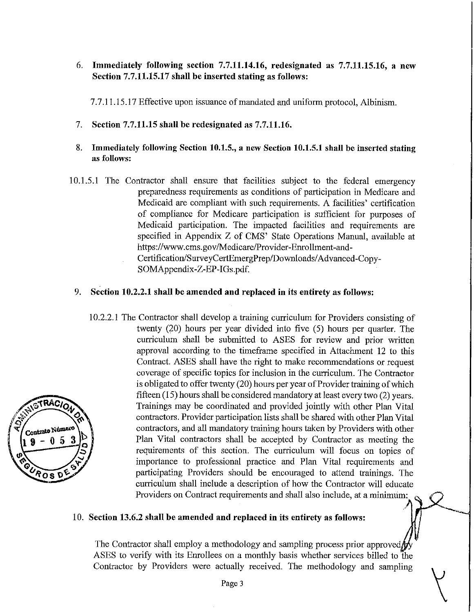### 6. Immediately following section 7.7.11.14.16, redesignated as 7.7.11.15.16, a new Section 7.7.11.15.17 shall be inserted stating as follows:

7.7.11.15.17 Effective upon issuance of mandated and uniform protocol, Albinism.

- 7. Section 7.7.11.15 shall be redesignated as 7.7.11.16.
- 8. Immediately following Section 10.1.5., a new Section 10.1.5.1 shall be inserted stating as follows:
- 10.1.5.1 The Contractor shall ensure that facilities subject to the federal emergency preparedness requirements as conditions of participation in Medicare and Medicaid are compliant with such requirements. A facilities' certification of compliance for Medicare participation is sufficient for purposes of Medicaid participation. The impacted facilities and requirements are specified in Appendix Z of CMS' State Operations Manual, available at https://www.cms.gov/Medicare/Provider-Enrollment-and-Certification/SurveyCertEmergPrep/Downloads/Advanced-Copy-SOMAppendix-Z-EP-IGs.pdf.

#### 9. Section 10.2.2.1 shall be amended and replaced in its entirety as follows:

10.2.2.1 The Contractor shall develop a training curriculum for Providers consisting of twenty (20) hours per year divided into five (5) hours per quarter. The curriculum shall be submitted to ASES for review and prior written approval according to the timeframe specified in Attachment 12 to this Contract. ASES shall have the right to make recommendations or request coverage of specific topics for inclusion in the curriculum. The Contractor is obligated to offer twenty (20) hours per year of Provider training of which fifteen (15) hours shall be considered mandatory at least every two (2) years. Trainings may be coordinated and provided jointly with other Plan Vital contractors. Provider participation lists shall be shared with other Plan Vital contractors, and all mandatory training hours taken by Providers with other Plan Vital contractors shall be accepted by Contractor as meeting the requirements of this section. The curriculum will focus on topics of importance to professional practice and Plan Vital requirements and participating Providers should be encouraged to attend trainings. The curriculum shall include a description of how the Contractor will educate Providers on Contract requirements and shall also include, at a minimum:

#### 10. Section 13.6.2 shall be amended and replaced in its entirety as follows:

The Contractor shall employ a methodology and sampling process prior approved  $\oint$ ASES to verify with its Enrollees on a monthly basis whether services billed to the Contractor by Providers were actually received. The methodology and sampling

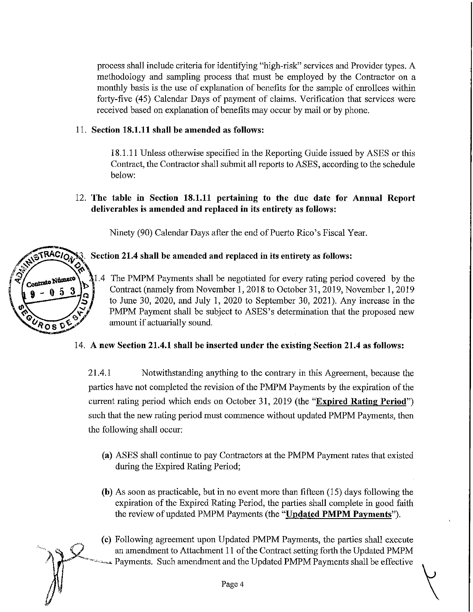process shall include criteria for identifying "high-risk" services and Provider types. A methodology and sampling process that must be employed by the Contractor on a monthly basis is the use of explanation of benefits for the sample of emollees within forty-five (45) Calendar Days of payment of claims. Verification that services were received based on explanation of benefits may occur by mail or by phone.

## II. Section 18.1.11 shall be amended as follows:

18.1.11 Unless otherwise specified in the Reporting Guide issued by ASES or this Contract, the Contractor shall submit all reports to ASES, according to the schedule below:

## 12. The table in Section 18.1.11 pertaining to the due date for Annual Report deliverables is amended and replaced in its entirety as follows:

Ninety (90) Calendar Days after the end of Puerto Rico's Fiscal Year.

# Section 21.4 shall be amended and replaced in its entirety as follows:

1.4 The PMPM Payments shall be negotiated for every rating period covered by the Contract (namely from November 1,2018 to October 31,2019, November 1, 2019 to June 30, 2020, and July 1, 2020 to September 30, 2021). Any increase in the PMPM Payment shall be subject to ASES's determination that the proposed new amount if actuarially sound.

# 14. A new Section 21.4.1 shall be inserted under the existing Section 21.4 as follows:

21.4.1 Notwithstanding anything to the contrary in this Agreement, because the parties have not completed the revision of the PMPM Payments by the expiration of the current rating period which ends on October 31, 2019 (the "Expired Rating Period") such that the new rating period must commence without updated PMPM Payments, then the following shall occur:

- (a) ASES shall continue to pay Contractors at the PMPM Payment rates that existed during the Expired Rating Period;
- (b) As soon as practicable, but in no event more than fifteen (15) days following the expiration of the Expired Rating Period, the parties shall complete in good faith the review of updated PMPM Payments (the "Updated PMPM Payments").
- (c) Following agreement upon Updated PMPM Payments, the parties shall execute an amendment to Attachment 11 of the Contract setting forth the Updated PMPM ~-\_.~=-' Payments. Such amendment and the Updated PMPM Payments shall be effective

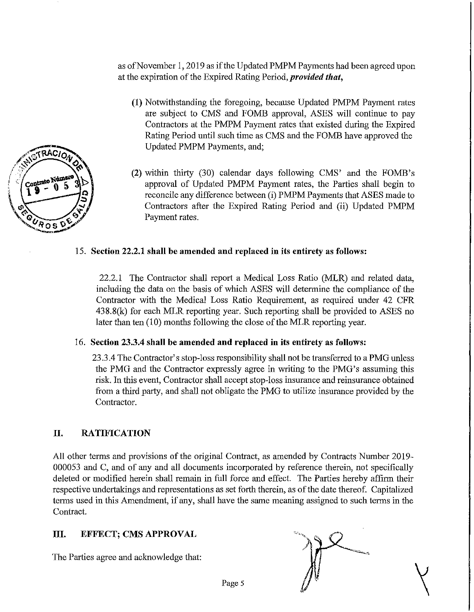as ofNovember 1,2019 as ifthe Updated PMPMPayments had been agreed upon at the expiration of the Expired Rating Period, *provided that*,

- (1) Notwithstanding the foregoing, because Updated PMPM Payment rates are subject to CMS and FOMB approval, ASES will continue to pay Contractors at the PMPM Payment rates that existed during the Expired Rating Period until such time as CMS and the FOME have approved the Updated PMPM Payments, and;
- (2) within thirty (30) calendar days following CMS' and the FOMB's approval of Updated PMPM Payment rates, the Parties shall begin to reconcile any difference between (i) PMPM Payments that ASES made to Contractors after the Expired Rating Period and (ii) Updated PMPM Payment rates.

### 15. Section 22.2.1 shall be amended and replaced in its entirety as follows:

22.2.1 The Contractor shall report a Medical Loss Ratio (MLR) and related data, including the data on the basis of which ASES will determine the compliance of the Contractor with the Medical Loss Ratio Requirement, as required under 42 CFR 438.8(k) for each MLR reporting year. Such reporting shall be provided to ASES no later than ten  $(10)$  months following the close of the MLR reporting year.

#### 16. Section 23.3.4 shall be amended and replaced in its entirety as follows:

23.3.4 The Contractor's stop-loss responsibility shall not be transferred to a PMG unless the PMG and the Contractor expressly agree in writing to the PMG's assuming this risk. In this event, Contractor shall accept stop-loss insurance and reinsurance obtained from a third party, and shall not obligate the PMG to utilize insurance provided by the Contractor.

### II. RATIFICATION

All other terms and provisions of the original Contract, as amended by Contracts Number 2019-000053 and C, and of any and all documents incorporated by reference therein, not specifically deleted or modified herein shall remain in full force and effect. The Parties hereby affirm their respective undertakings and representations as set forth therein, as ofthe date thereof. Capitalized terms used in this Amendment, if any, shall have the same meaning assigned to such terms in the Contract.

#### III. EFFECT; CMS APPROVAL

The Parties agree and acknowledge that:

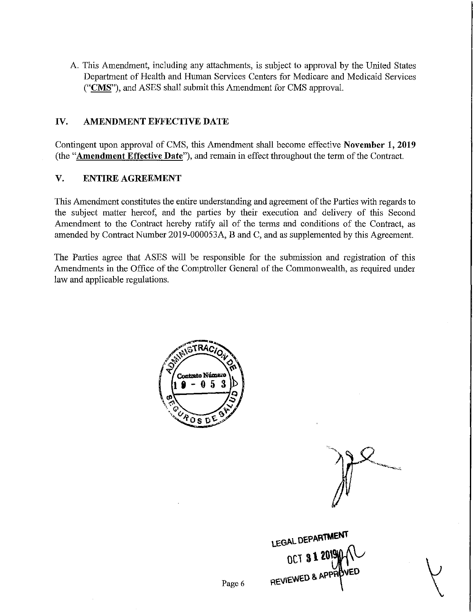A. This Amendment, including any attachments, is subject to approval by the United States Department of Health and Human Services Centers for Medicare and Medicaid Services ("CMS"), and ASES shall submit this Amendment for CMS approval.

#### **IV. AMENDMENT EFFECTIVE DATE**

Contingent upon approval of CMS, this Amendment shall become effective **November 1, 2019** (the **"Amendment Effective Date"),** and remain in effect throughout the term ofthe Contract.

### **V. ENTIRE AGREEMENT**

This Amendment constitutes the entire understanding and agreement ofthe Parties with regards to the subject matter hereof, and the parties by their execution and delivery of this Second Amendment to the Contract hereby ratify all of the terms and conditions of the Contract, as amended by Contract Number 20l9-000053A, Band C, and as supplemented by this Agreement.

The Parties agree that ASES will be responsible for the submission and registration of this Amendments in the Office of the Comptroller General of the Commonwealth, as required under law and applicable regulations.



**LEGAL DEPARiMENl'**  $0C1$  3 T to  $M_{\odot}$ **REI/IEWE.D &.** APP·~t/ED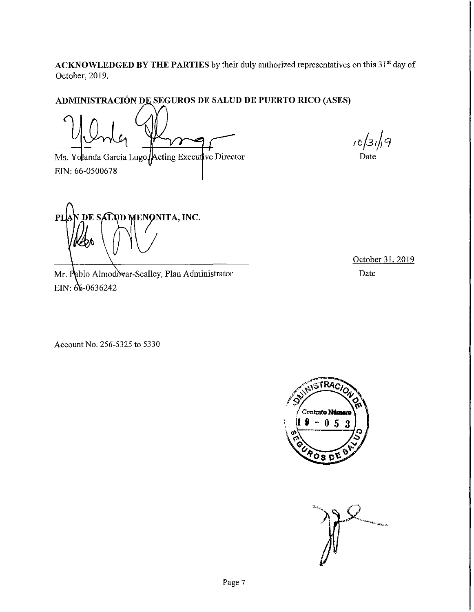ACKNOWLEDGED BY THE PARTIES by their duly authorized representatives on this 31<sup>st</sup> day of October, 2019.

# **SEGUROS DE SALUD DE PUERTO RICO (ASES)**

Ms. Yolanda Garcia Lugo Acting Executive Director EIN: 66-0500678

 $\overline{\phantom{a}}$ 

Date

**PI DE SALUD MENONITA, INC.** 

Mr. Pablo Almodovar-Scalley, Plan Administrator EIN:  $66 - 0636242$ 

October 31, 2019 Date

Account No. 256-5325 to 5330



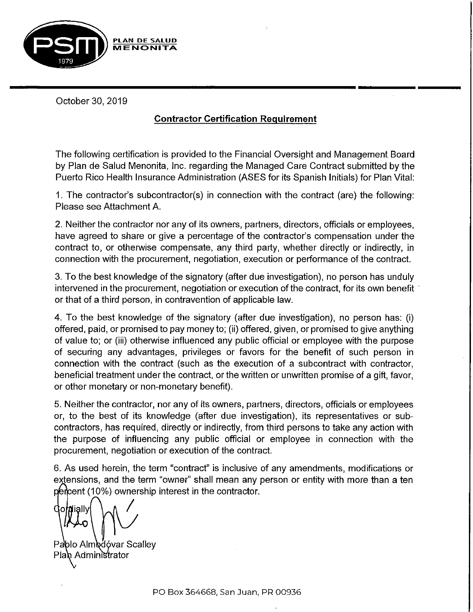

October 30, 2019

# **Contractor Certification Requirement**

The following certification is provided to the Financial Oversight and Management Board by Plan de Salud Menonita, Inc. regarding the Managed Care Contract submitted by the Puerto Rico Health Insurance Administration (ASES for its Spanish Initials) for Plan Vital:

1. The contractor's subcontractor(s) in connection with the contract (are) the following: Please see Attachment A.

2. Neither the contractor nor any of its owners, partners, directors, officials or employees, have agreed to share or give a percentage of the contractor's compensation under the contract to, or otherwise compensate, any third party, whether directly or indirectly, in connection with the procurement, negotiation, execution or performance of the contract.

3. To the best knowledge of the signatory (after due investigation), no person has unduly intervened in the procurement, negotiation or execution of the contract, for its own benefit . or that of a third person, in contravention of applicable law.

4. To the best knowledge of the signatory (after due investigation), no person has: (i) offered, paid, or promised to pay money to; (ii) offered, given, or promised to give anything of value to; or (iii) otherwise influenced any public official or employee with the purpose of securing any advantages, privileges or favors for the benefit of such person in connection with the contract (such as the execution of a subcontract with contractor, beneficial treatment under the contract, or the written or unwritten promise of a gift, favor, or other monetary or non-monetary benefit).

5. Neither the contractor, nor any of its owners, partners, directors, officials or employees or, to the best of its knowledge (after due investigation), its representatives or subcontractors, has required, directly or indirectly, from third persons to take any action with the purpose of influencing any public official or employee in connection with the procurement, negotiation or execution of the contract.

6. As used herein, the term "contract" is inclusive of any amendments, modifications or extensions, and the term "owner" shall mean any person or entity with more than a ten percent (10%) ownership interest in the contractor.

I Gordially

Pablo Almodóvar Scalley Plan Administrator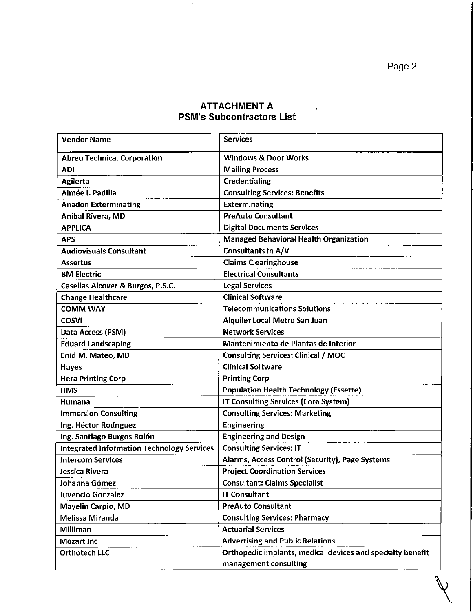# ATTACHMENT A PSM's Subcontractors List

| <b>Vendor Name</b>                                | <b>Services</b>                                            |
|---------------------------------------------------|------------------------------------------------------------|
| <b>Abreu Technical Corporation</b>                | <b>Windows &amp; Door Works</b>                            |
| <b>ADI</b>                                        | <b>Mailing Process</b>                                     |
| <b>Agilerta</b>                                   | <b>Credentialing</b>                                       |
| Aimée I. Padilla                                  | <b>Consulting Services: Benefits</b>                       |
| <b>Anadon Exterminating</b>                       | <b>Exterminating</b>                                       |
| Aníbal Rivera, MD                                 | <b>PreAuto Consultant</b>                                  |
| <b>APPLICA</b>                                    | <b>Digital Documents Services</b>                          |
| <b>APS</b>                                        | <b>Managed Behavioral Health Organization</b>              |
| <b>Audiovisuals Consultant</b>                    | Consultants in A/V                                         |
| <b>Assertus</b>                                   | <b>Claims Clearinghouse</b>                                |
| <b>BM Electric</b>                                | <b>Electrical Consultants</b>                              |
| Casellas Alcover & Burgos, P.S.C.                 | <b>Legal Services</b>                                      |
| <b>Change Healthcare</b>                          | <b>Clinical Software</b>                                   |
| <b>COMM WAY</b>                                   | <b>Telecommunications Solutions</b>                        |
| <b>COSVI</b>                                      | Alquiler Local Metro San Juan                              |
| Data Access (PSM)                                 | <b>Network Services</b>                                    |
| <b>Eduard Landscaping</b>                         | Mantenimiento de Plantas de Interior                       |
| Enid M. Mateo, MD                                 | <b>Consulting Services: Clinical / MOC</b>                 |
| <b>Hayes</b>                                      | <b>Clinical Software</b>                                   |
| <b>Hera Printing Corp</b>                         | <b>Printing Corp</b>                                       |
| <b>HMS</b>                                        | <b>Population Health Technology (Essette)</b>              |
| Humana                                            | <b>IT Consulting Services (Core System)</b>                |
| <b>Immersion Consulting</b>                       | <b>Consulting Services: Marketing</b>                      |
| Ing. Héctor Rodríguez                             | <b>Engineering</b>                                         |
| Ing. Santiago Burgos Rolón                        | <b>Engineering and Design</b>                              |
| <b>Integrated Information Technology Services</b> | <b>Consulting Services: IT</b>                             |
| <b>Intercom Services</b>                          | Alarms, Access Control (Security), Page Systems            |
| Jessica Rivera                                    | <b>Project Coordination Services</b>                       |
| Johanna Gómez                                     | <b>Consultant: Claims Specialist</b>                       |
| Juvencio Gonzalez                                 | <b>IT Consultant</b>                                       |
| <b>Mayelin Carpio, MD</b>                         | <b>PreAuto Consultant</b>                                  |
| Melissa Miranda                                   | <b>Consulting Services: Pharmacy</b>                       |
| Milliman                                          | <b>Actuarial Services</b>                                  |
| <b>Mozart Inc</b>                                 | <b>Advertising and Public Relations</b>                    |
| <b>Orthotech LLC</b>                              | Orthopedic implants, medical devices and specialty benefit |
|                                                   | management consulting                                      |